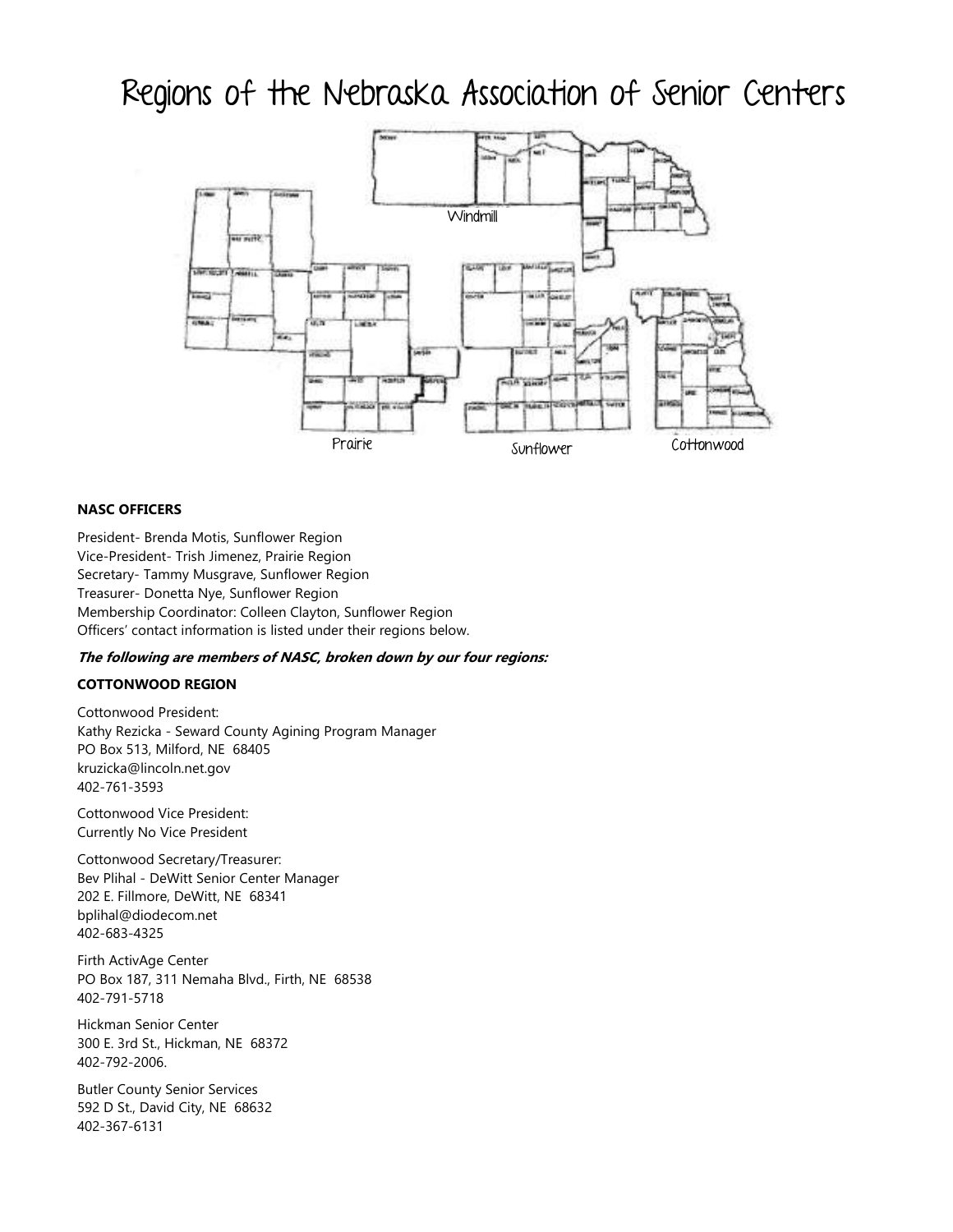## Regions of the Nebraska Association of Senior Centers



### **NASC OFFICERS**

President- Brenda Motis, Sunflower Region Vice-President- Trish Jimenez, Prairie Region Secretary- Tammy Musgrave, Sunflower Region Treasurer- Donetta Nye, Sunflower Region Membership Coordinator: Colleen Clayton, Sunflower Region Officers' contact information is listed under their regions below.

### **The following are members of NASC, broken down by our four regions:**

### **COTTONWOOD REGION**

Cottonwood President: Kathy Rezicka - Seward County Agining Program Manager PO Box 513, Milford, NE 68405 kruzicka@lincoln.net.gov 402-761-3593

Cottonwood Vice President: Currently No Vice President

Cottonwood Secretary/Treasurer: Bev Plihal - DeWitt Senior Center Manager 202 E. Fillmore, DeWitt, NE 68341 bplihal@diodecom.net 402-683-4325

Firth ActivAge Center PO Box 187, 311 Nemaha Blvd., Firth, NE 68538 402-791-5718

Hickman Senior Center 300 E. 3rd St., Hickman, NE 68372 402-792-2006.

Butler County Senior Services 592 D St., David City, NE 68632 402-367-6131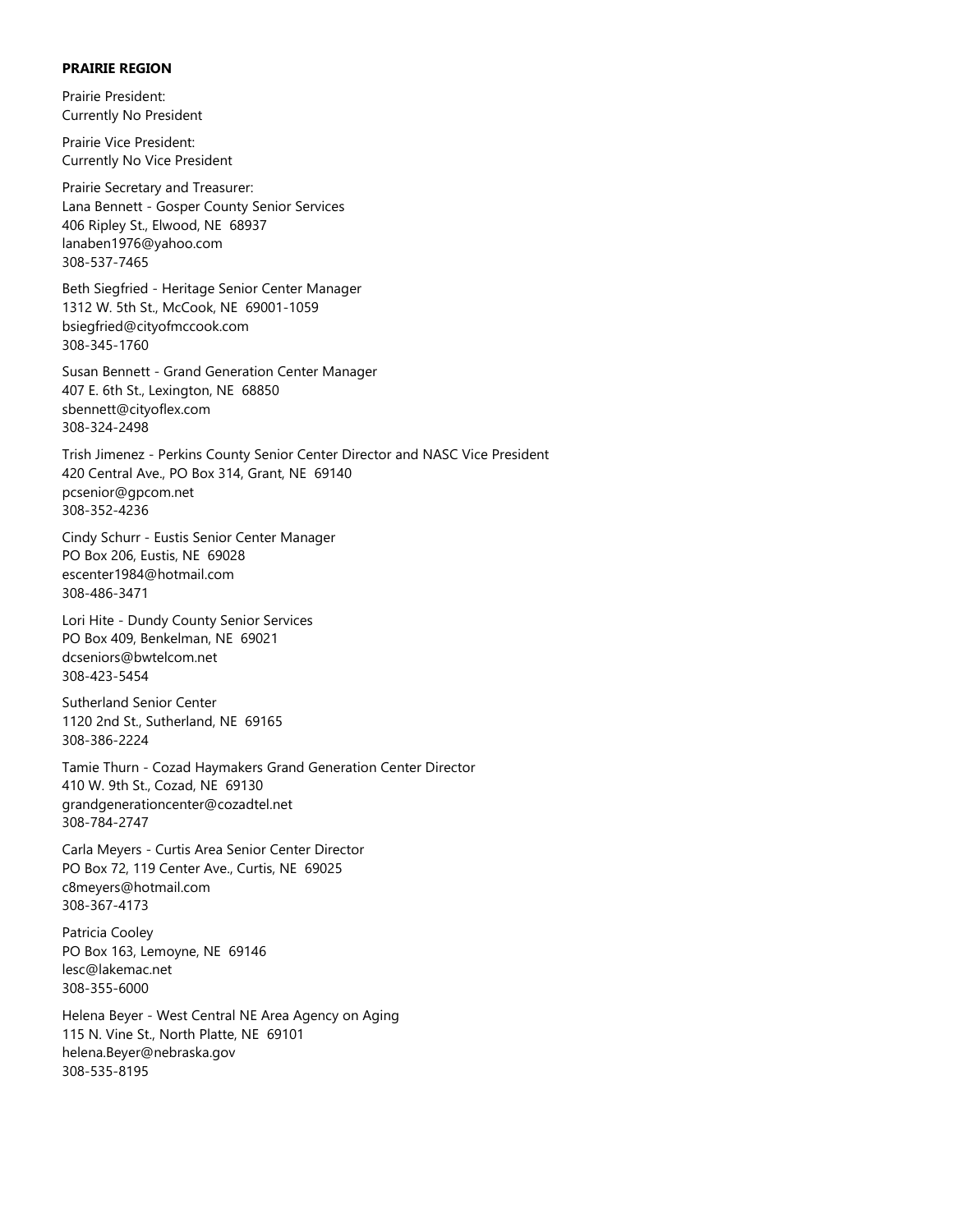### **PRAIRIE REGION**

Prairie President: Currently No President

Prairie Vice President: Currently No Vice President

Prairie Secretary and Treasurer: Lana Bennett - Gosper County Senior Services 406 Ripley St., Elwood, NE 68937 lanaben1976@yahoo.com 308-537-7465

Beth Siegfried - Heritage Senior Center Manager 1312 W. 5th St., McCook, NE 69001-1059 bsiegfried@cityofmccook.com 308-345-1760

Susan Bennett - Grand Generation Center Manager 407 E. 6th St., Lexington, NE 68850 sbennett@cityoflex.com 308-324-2498

Trish Jimenez - Perkins County Senior Center Director and NASC Vice President 420 Central Ave., PO Box 314, Grant, NE 69140 pcsenior@gpcom.net 308-352-4236

Cindy Schurr - Eustis Senior Center Manager PO Box 206, Eustis, NE 69028 escenter1984@hotmail.com 308-486-3471

Lori Hite - Dundy County Senior Services PO Box 409, Benkelman, NE 69021 dcseniors@bwtelcom.net 308-423-5454

Sutherland Senior Center 1120 2nd St., Sutherland, NE 69165 308-386-2224

Tamie Thurn - Cozad Haymakers Grand Generation Center Director 410 W. 9th St., Cozad, NE 69130 grandgenerationcenter@cozadtel.net 308-784-2747

Carla Meyers - Curtis Area Senior Center Director PO Box 72, 119 Center Ave., Curtis, NE 69025 c8meyers@hotmail.com 308-367-4173

Patricia Cooley PO Box 163, Lemoyne, NE 69146 lesc@lakemac.net 308-355-6000

Helena Beyer - West Central NE Area Agency on Aging 115 N. Vine St., North Platte, NE 69101 helena.Beyer@nebraska.gov 308-535-8195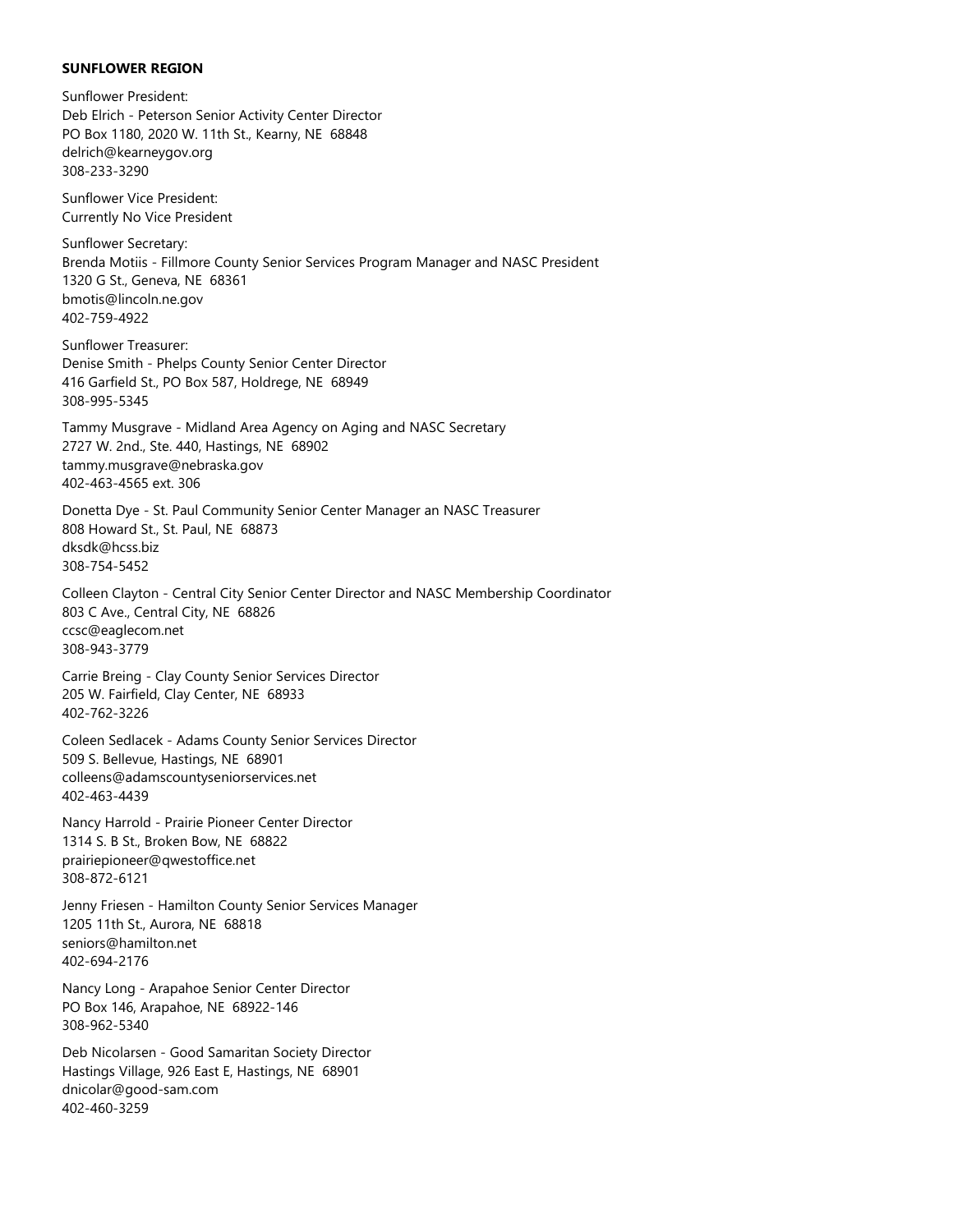### **SUNFLOWER REGION**

Sunflower President: Deb Elrich - Peterson Senior Activity Center Director PO Box 1180, 2020 W. 11th St., Kearny, NE 68848 delrich@kearneygov.org 308-233-3290 Sunflower Vice President: Currently No Vice President Sunflower Secretary: Brenda Motiis - Fillmore County Senior Services Program Manager and NASC President 1320 G St., Geneva, NE 68361 bmotis@lincoln.ne.gov 402-759-4922 Sunflower Treasurer: Denise Smith - Phelps County Senior Center Director 416 Garfield St., PO Box 587, Holdrege, NE 68949 308-995-5345 Tammy Musgrave - Midland Area Agency on Aging and NASC Secretary 2727 W. 2nd., Ste. 440, Hastings, NE 68902 tammy.musgrave@nebraska.gov 402-463-4565 ext. 306 Donetta Dye - St. Paul Community Senior Center Manager an NASC Treasurer 808 Howard St., St. Paul, NE 68873 dksdk@hcss.biz 308-754-5452 Colleen Clayton - Central City Senior Center Director and NASC Membership Coordinator 803 C Ave., Central City, NE 68826 ccsc@eaglecom.net 308-943-3779 Carrie Breing - Clay County Senior Services Director 205 W. Fairfield, Clay Center, NE 68933 402-762-3226 Coleen Sedlacek - Adams County Senior Services Director 509 S. Bellevue, Hastings, NE 68901 colleens@adamscountyseniorservices.net 402-463-4439 Nancy Harrold - Prairie Pioneer Center Director 1314 S. B St., Broken Bow, NE 68822 prairiepioneer@qwestoffice.net 308-872-6121 Jenny Friesen - Hamilton County Senior Services Manager 1205 11th St., Aurora, NE 68818 seniors@hamilton.net 402-694-2176 Nancy Long - Arapahoe Senior Center Director PO Box 146, Arapahoe, NE 68922-146 308-962-5340

Deb Nicolarsen - Good Samaritan Society Director Hastings Village, 926 East E, Hastings, NE 68901 dnicolar@good-sam.com 402-460-3259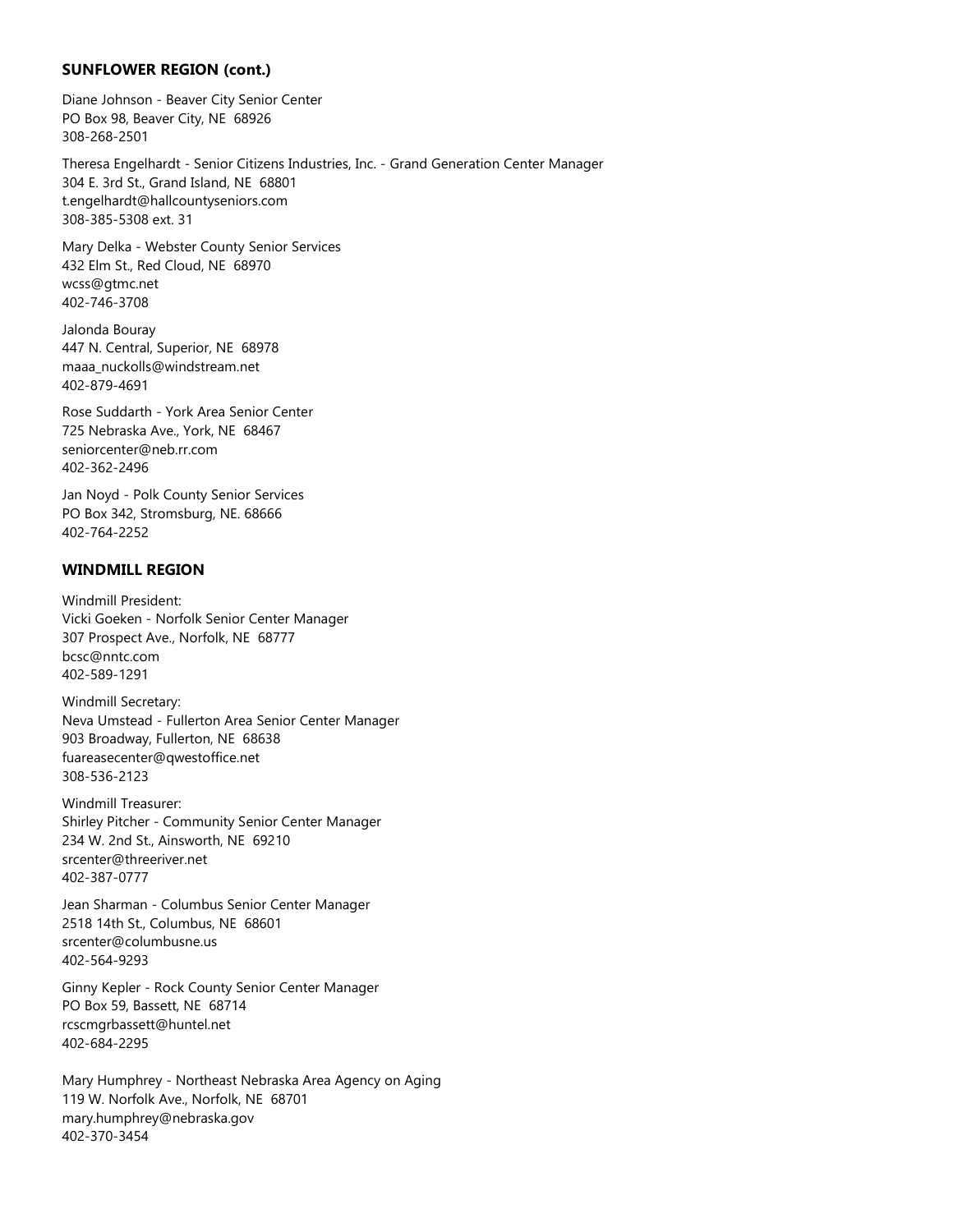### **SUNFLOWER REGION (cont.)**

Diane Johnson - Beaver City Senior Center PO Box 98, Beaver City, NE 68926 308-268-2501

Theresa Engelhardt - Senior Citizens Industries, Inc. - Grand Generation Center Manager 304 E. 3rd St., Grand Island, NE 68801 t.engelhardt@hallcountyseniors.com 308-385-5308 ext. 31

Mary Delka - Webster County Senior Services 432 Elm St., Red Cloud, NE 68970 wcss@gtmc.net 402-746-3708

Jalonda Bouray 447 N. Central, Superior, NE 68978 maaa\_nuckolls@windstream.net 402-879-4691

Rose Suddarth - York Area Senior Center 725 Nebraska Ave., York, NE 68467 seniorcenter@neb.rr.com 402-362-2496

Jan Noyd - Polk County Senior Services PO Box 342, Stromsburg, NE. 68666 402-764-2252

### **WINDMILL REGION**

Windmill President: Vicki Goeken - Norfolk Senior Center Manager 307 Prospect Ave., Norfolk, NE 68777 bcsc@nntc.com 402-589-1291

Windmill Secretary: Neva Umstead - Fullerton Area Senior Center Manager 903 Broadway, Fullerton, NE 68638 fuareasecenter@qwestoffice.net 308-536-2123

Windmill Treasurer: Shirley Pitcher - Community Senior Center Manager 234 W. 2nd St., Ainsworth, NE 69210 srcenter@threeriver.net 402-387-0777

Jean Sharman - Columbus Senior Center Manager 2518 14th St., Columbus, NE 68601 srcenter@columbusne.us 402-564-9293

Ginny Kepler - Rock County Senior Center Manager PO Box 59, Bassett, NE 68714 rcscmgrbassett@huntel.net 402-684-2295

Mary Humphrey - Northeast Nebraska Area Agency on Aging 119 W. Norfolk Ave., Norfolk, NE 68701 mary.humphrey@nebraska.gov 402-370-3454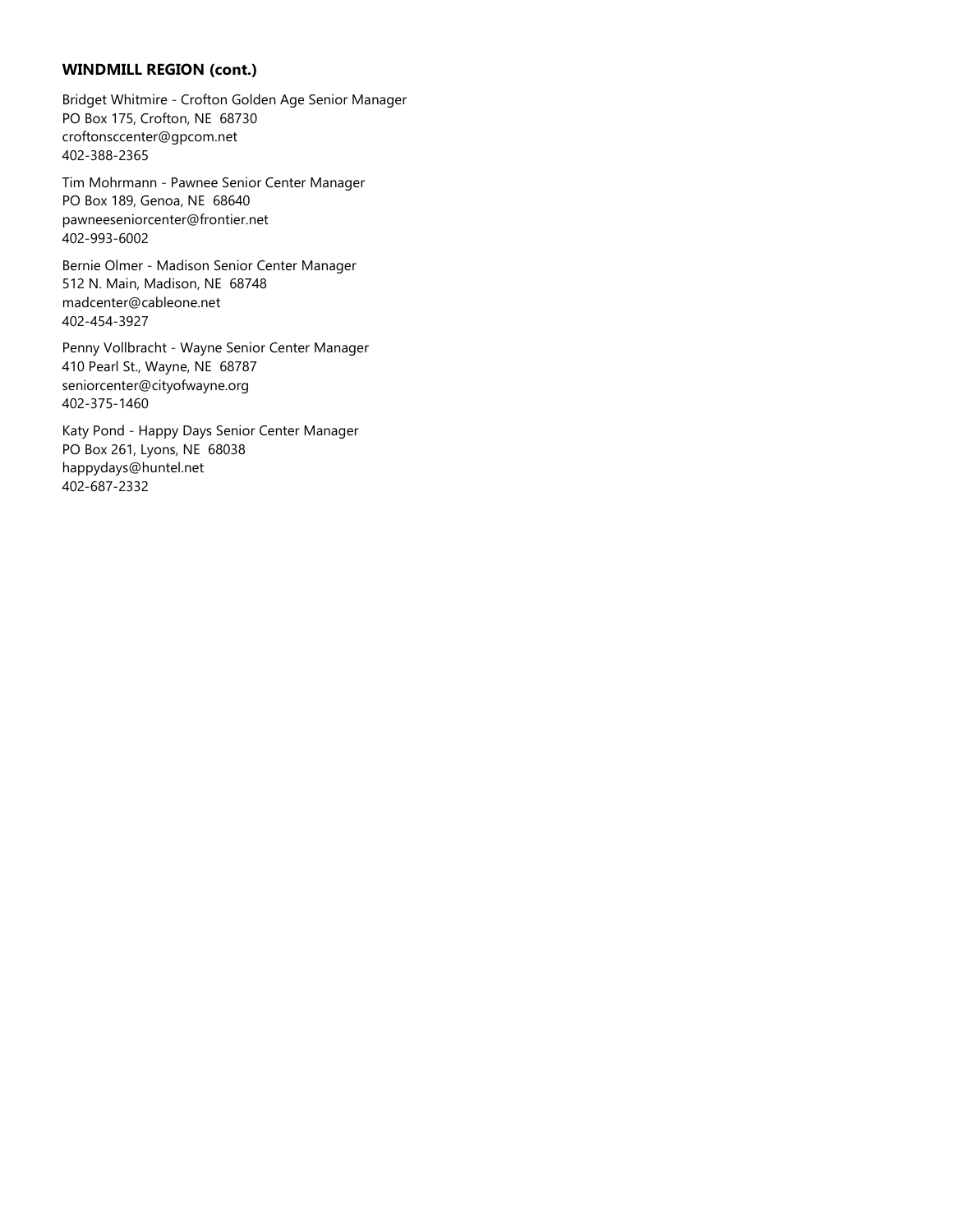### **WINDMILL REGION (cont.)**

Bridget Whitmire - Crofton Golden Age Senior Manager PO Box 175, Crofton, NE 68730 croftonsccenter@gpcom.net 402-388-2365

Tim Mohrmann - Pawnee Senior Center Manager PO Box 189, Genoa, NE 68640 pawneeseniorcenter@frontier.net 402-993-6002

Bernie Olmer - Madison Senior Center Manager 512 N. Main, Madison, NE 68748 madcenter@cableone.net 402-454-3927

Penny Vollbracht - Wayne Senior Center Manager 410 Pearl St., Wayne, NE 68787 seniorcenter@cityofwayne.org 402-375-1460

Katy Pond - Happy Days Senior Center Manager PO Box 261, Lyons, NE 68038 happydays@huntel.net 402-687-2332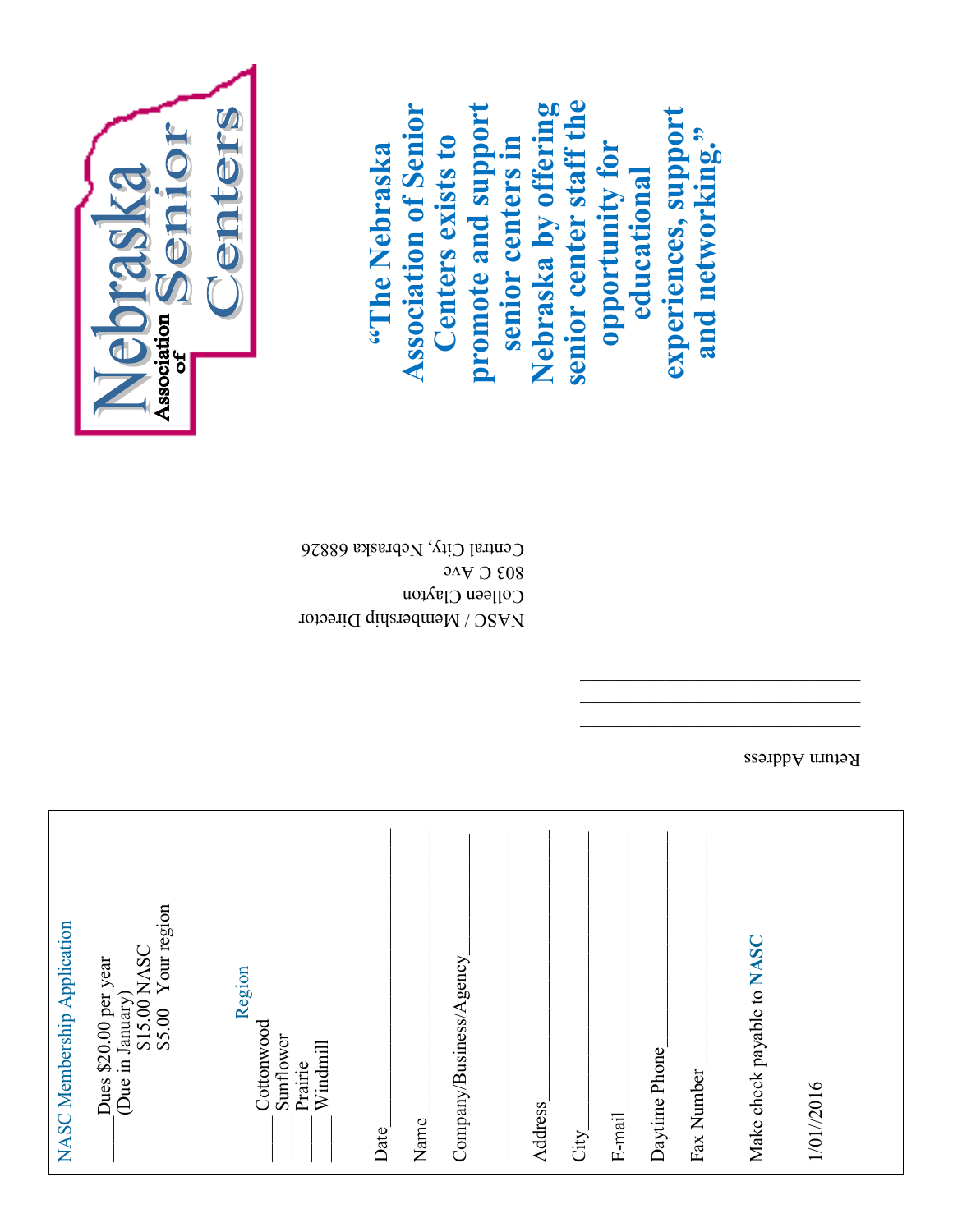| \$15.00 NASC<br>\$5.00 Your region<br>NASC Membership Application<br>Company/Business/Agency<br>Dues \$20.00 per year<br>Region<br>(Due in January)<br>Cottonwood<br>Sunflower<br>Windmill<br>Prairie<br>Name<br>Date | Make check payable to NASC<br>Daytime Phone<br>Fax Number<br>1/01//2016<br>Address<br>E-mail<br>City |
|-----------------------------------------------------------------------------------------------------------------------------------------------------------------------------------------------------------------------|------------------------------------------------------------------------------------------------------|
|-----------------------------------------------------------------------------------------------------------------------------------------------------------------------------------------------------------------------|------------------------------------------------------------------------------------------------------|

Return Address

 $\overline{\phantom{a}}$  , and the state of the state of the state of the state of the state of the state of the state of the state of the state of the state of the state of the state of the state of the state of the state of the stat

 NASC / Membership Director Colleen Clayton 803 C Ave



 $\frac{1}{2}$ <br>  $\frac{1}{2}$ <br>  $\frac{1}{2}$ <br>  $\frac{1}{2}$ <br>  $\frac{1}{2}$ <br>  $\frac{1}{2}$ <br>  $\frac{1}{2}$ <br>  $\frac{1}{2}$ <br>  $\frac{1}{2}$ <br>  $\frac{1}{2}$ <br>  $\frac{1}{2}$ <br>  $\frac{1}{2}$ <br>  $\frac{1}{2}$ <br>  $\frac{1}{2}$ <br>  $\frac{1}{2}$ <br>  $\frac{1}{2}$ <br>  $\frac{1}{2}$ <br>  $\frac{1}{2}$ <br>  $\frac{1}{2}$ <br>  $\frac{1}{2}$ <br>